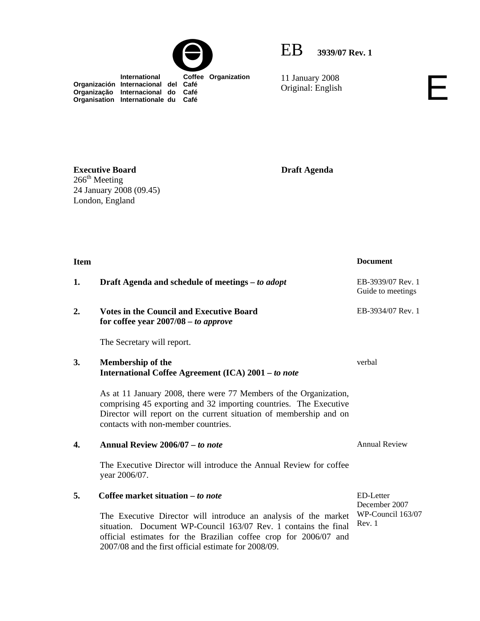

 **International Coffee Organization** 

**Organización Internacional del Café Organização Internacional do Café Organisation Internationale du Café**



11 January 2008

11 January 2008<br>Original: English

**Executive Board**   $266^{\rm th}$  Meeting

24 January 2008 (09.45)

London, England

**Draft Agenda** 

| <b>Item</b> |                                                                                                                                                                                                                                                                | <b>Document</b>                              |
|-------------|----------------------------------------------------------------------------------------------------------------------------------------------------------------------------------------------------------------------------------------------------------------|----------------------------------------------|
| 1.          | Draft Agenda and schedule of meetings – to adopt                                                                                                                                                                                                               | EB-3939/07 Rev. 1<br>Guide to meetings       |
| 2.          | <b>Votes in the Council and Executive Board</b><br>for coffee year $2007/08 - to$ approve                                                                                                                                                                      | EB-3934/07 Rev. 1                            |
|             | The Secretary will report.                                                                                                                                                                                                                                     |                                              |
| 3.          | <b>Membership of the</b><br>International Coffee Agreement (ICA) 2001 - to note                                                                                                                                                                                | verbal                                       |
|             | As at 11 January 2008, there were 77 Members of the Organization,<br>comprising 45 exporting and 32 importing countries. The Executive<br>Director will report on the current situation of membership and on<br>contacts with non-member countries.            |                                              |
| 4.          | Annual Review 2006/07 - to note                                                                                                                                                                                                                                | <b>Annual Review</b>                         |
|             | The Executive Director will introduce the Annual Review for coffee<br>year 2006/07.                                                                                                                                                                            |                                              |
| 5.          | Coffee market situation – to note                                                                                                                                                                                                                              | ED-Letter                                    |
|             | The Executive Director will introduce an analysis of the market<br>situation. Document WP-Council 163/07 Rev. 1 contains the final<br>official estimates for the Brazilian coffee crop for 2006/07 and<br>2007/08 and the first official estimate for 2008/09. | December 2007<br>WP-Council 163/07<br>Rev. 1 |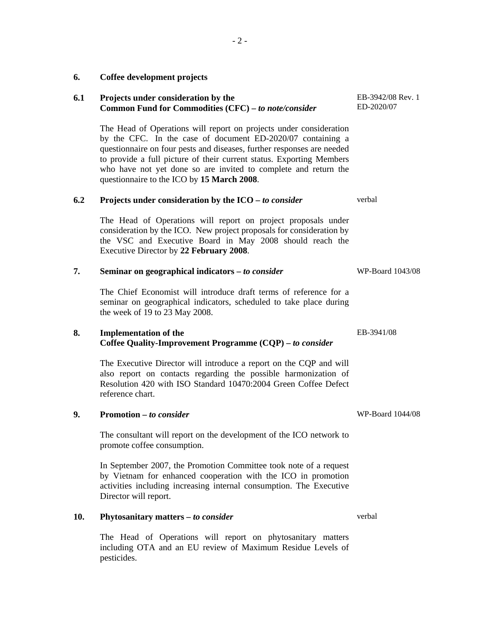## **6. Coffee development projects**

| 6.1 | Projects under consideration by the<br>Common Fund for Commodities (CFC) - to note/consider                                                                                                                                                                                                                                                                                                          | EB-3942/08 Rev. 1<br>ED-2020/07 |
|-----|------------------------------------------------------------------------------------------------------------------------------------------------------------------------------------------------------------------------------------------------------------------------------------------------------------------------------------------------------------------------------------------------------|---------------------------------|
|     | The Head of Operations will report on projects under consideration<br>by the CFC. In the case of document ED-2020/07 containing a<br>questionnaire on four pests and diseases, further responses are needed<br>to provide a full picture of their current status. Exporting Members<br>who have not yet done so are invited to complete and return the<br>questionnaire to the ICO by 15 March 2008. |                                 |
| 6.2 | Projects under consideration by the $ICO - to$ consider                                                                                                                                                                                                                                                                                                                                              | verbal                          |
|     | The Head of Operations will report on project proposals under<br>consideration by the ICO. New project proposals for consideration by<br>the VSC and Executive Board in May 2008 should reach the<br>Executive Director by 22 February 2008.                                                                                                                                                         |                                 |
| 7.  | Seminar on geographical indicators $-$ to consider                                                                                                                                                                                                                                                                                                                                                   | WP-Board 1043/08                |
|     | The Chief Economist will introduce draft terms of reference for a<br>seminar on geographical indicators, scheduled to take place during<br>the week of 19 to 23 May 2008.                                                                                                                                                                                                                            |                                 |
| 8.  | <b>Implementation of the</b><br>Coffee Quality-Improvement Programme (CQP) – to consider                                                                                                                                                                                                                                                                                                             | EB-3941/08                      |
|     | The Executive Director will introduce a report on the CQP and will<br>also report on contacts regarding the possible harmonization of<br>Resolution 420 with ISO Standard 10470:2004 Green Coffee Defect<br>reference chart.                                                                                                                                                                         |                                 |
| 9.  | Promotion – to consider                                                                                                                                                                                                                                                                                                                                                                              | WP-Board 1044/08                |
|     | The consultant will report on the development of the ICO network to<br>promote coffee consumption.                                                                                                                                                                                                                                                                                                   |                                 |
|     | In September 2007, the Promotion Committee took note of a request<br>by Vietnam for enhanced cooperation with the ICO in promotion<br>activities including increasing internal consumption. The Executive<br>Director will report.                                                                                                                                                                   |                                 |
| 10. | Phytosanitary matters - to consider                                                                                                                                                                                                                                                                                                                                                                  | verbal                          |
|     |                                                                                                                                                                                                                                                                                                                                                                                                      |                                 |

The Head of Operations will report on phytosanitary matters including OTA and an EU review of Maximum Residue Levels of pesticides.